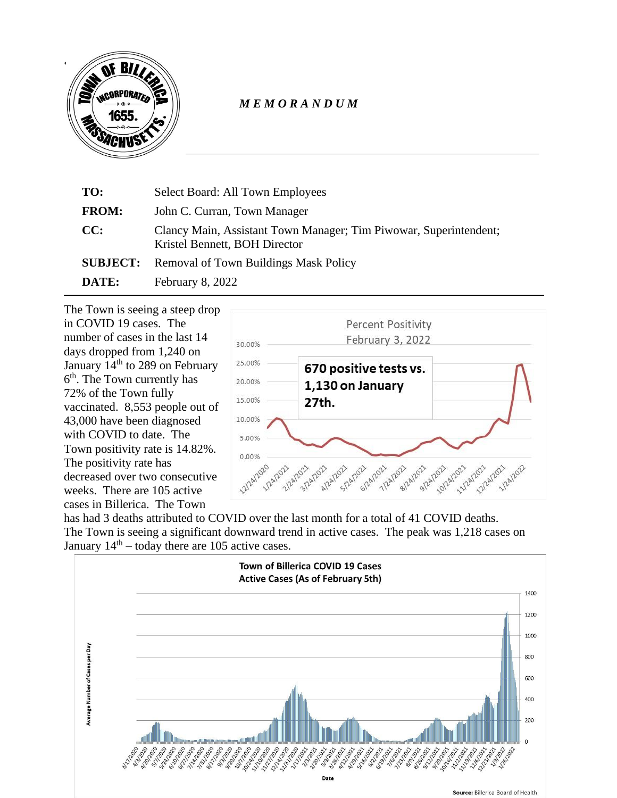

## *M E M O R A N D U M*

| TO:             | Select Board: All Town Employees                                                                   |
|-----------------|----------------------------------------------------------------------------------------------------|
| <b>FROM:</b>    | John C. Curran, Town Manager                                                                       |
| CC:             | Clancy Main, Assistant Town Manager; Tim Piwowar, Superintendent;<br>Kristel Bennett, BOH Director |
| <b>SUBJECT:</b> | <b>Removal of Town Buildings Mask Policy</b>                                                       |
| DATE:           | February 8, 2022                                                                                   |

The Town is seeing a steep drop in COVID 19 cases. The number of cases in the last 14 days dropped from 1,240 on January 14<sup>th</sup> to 289 on February 6<sup>th</sup>. The Town currently has 72% of the Town fully vaccinated. 8,553 people out of 43,000 have been diagnosed with COVID to date. The Town positivity rate is 14.82%. The positivity rate has decreased over two consecutive weeks. There are 105 active cases in Billerica. The Town



has had 3 deaths attributed to COVID over the last month for a total of 41 COVID deaths. The Town is seeing a significant downward trend in active cases. The peak was 1,218 cases on January  $14<sup>th</sup>$  – today there are 105 active cases.

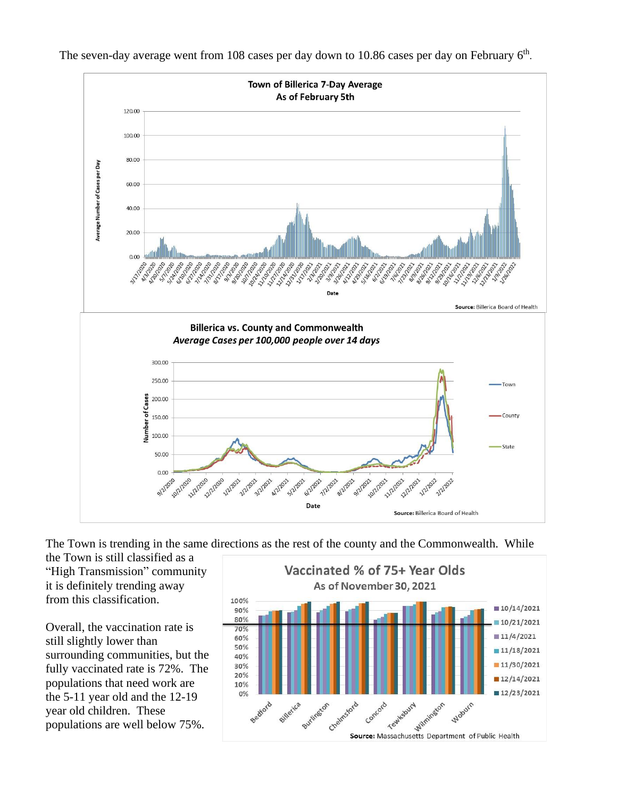

The seven-day average went from 108 cases per day down to 10.86 cases per day on February  $6<sup>th</sup>$ .

The Town is trending in the same directions as the rest of the county and the Commonwealth. While

the Town is still classified as a "High Transmission" community it is definitely trending away from this classification.

Overall, the vaccination rate is still slightly lower than surrounding communities, but the fully vaccinated rate is 72%. The populations that need work are the 5-11 year old and the 12-19 year old children. These populations are well below 75%.

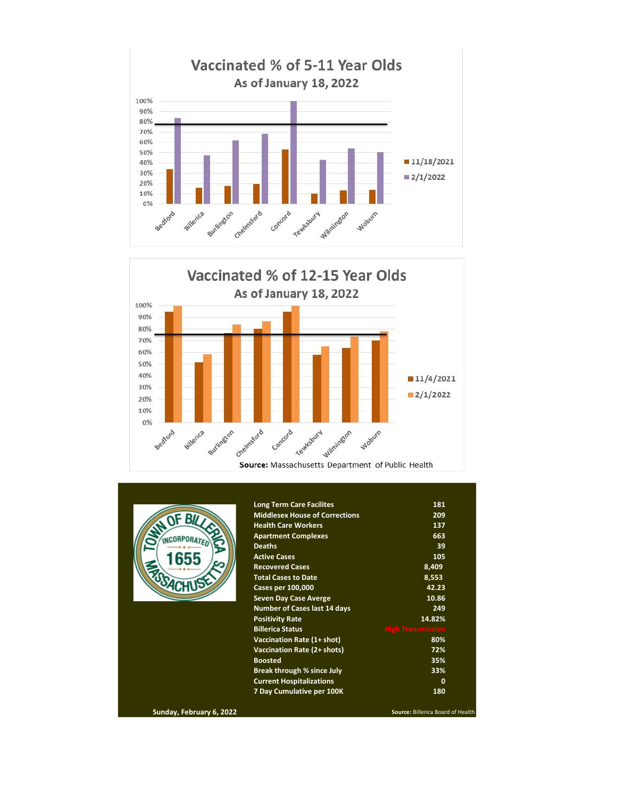



|                          | <b>Long Term Care Facilites</b>       | 181                               |
|--------------------------|---------------------------------------|-----------------------------------|
| OF BILLS                 | <b>Middlesex House of Corrections</b> | 209                               |
|                          | <b>Health Care Workers</b>            | 137                               |
| <b>ACORPORATE</b>        | <b>Apartment Complexes</b>            | 663                               |
|                          | <b>Deaths</b>                         | 39                                |
|                          | <b>Active Cases</b>                   | 105                               |
|                          | <b>Recovered Cases</b>                | 8,409                             |
|                          | <b>Total Cases to Date</b>            | 8,553                             |
|                          | Cases per 100,000                     | 42.23                             |
|                          | <b>Seven Day Case Averge</b>          | 10.86                             |
|                          | <b>Number of Cases last 14 days</b>   | 249                               |
|                          | <b>Positivity Rate</b>                | 14.82%                            |
|                          | <b>Billerica Status</b>               | <b>High Transmission</b>          |
|                          | Vaccination Rate (1+ shot)            | 80%                               |
|                          | Vaccination Rate (2+ shots)           | 72%                               |
|                          | <b>Boosted</b>                        | 35%                               |
|                          | <b>Break through % since July</b>     | 33%                               |
|                          | <b>Current Hospitalizations</b>       | 0                                 |
|                          | 7 Day Cumulative per 100K             | 180                               |
| Sunday, February 6, 2022 |                                       | Source: Billerica Board of Health |